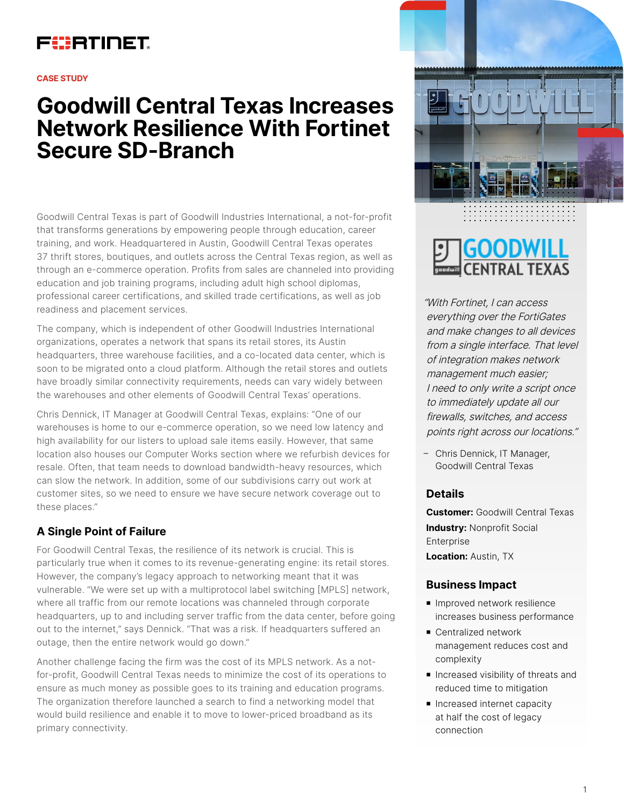# FURTINET

#### **CASE STUDY**

# **Goodwill Central Texas Increases Network Resilience With Fortinet Secure SD-Branch**

Goodwill Central Texas is part of Goodwill Industries International, a not-for-profit that transforms generations by empowering people through education, career training, and work. Headquartered in Austin, Goodwill Central Texas operates 37 thrift stores, boutiques, and outlets across the Central Texas region, as well as through an e-commerce operation. Profits from sales are channeled into providing education and job training programs, including adult high school diplomas, professional career certifications, and skilled trade certifications, as well as job readiness and placement services.

The company, which is independent of other Goodwill Industries International organizations, operates a network that spans its retail stores, its Austin headquarters, three warehouse facilities, and a co-located data center, which is soon to be migrated onto a cloud platform. Although the retail stores and outlets have broadly similar connectivity requirements, needs can vary widely between the warehouses and other elements of Goodwill Central Texas' operations.

Chris Dennick, IT Manager at Goodwill Central Texas, explains: "One of our warehouses is home to our e-commerce operation, so we need low latency and high availability for our listers to upload sale items easily. However, that same location also houses our Computer Works section where we refurbish devices for resale. Often, that team needs to download bandwidth-heavy resources, which can slow the network. In addition, some of our subdivisions carry out work at customer sites, so we need to ensure we have secure network coverage out to these places."

# **A Single Point of Failure**

For Goodwill Central Texas, the resilience of its network is crucial. This is particularly true when it comes to its revenue-generating engine: its retail stores. However, the company's legacy approach to networking meant that it was vulnerable. "We were set up with a multiprotocol label switching [MPLS] network, where all traffic from our remote locations was channeled through corporate headquarters, up to and including server traffic from the data center, before going out to the internet," says Dennick. "That was a risk. If headquarters suffered an outage, then the entire network would go down."

Another challenge facing the firm was the cost of its MPLS network. As a notfor-profit, Goodwill Central Texas needs to minimize the cost of its operations to ensure as much money as possible goes to its training and education programs. The organization therefore launched a search to find a networking model that would build resilience and enable it to move to lower-priced broadband as its primary connectivity.





"With Fortinet, I can access everything over the FortiGates and make changes to all devices from a single interface. That level of integration makes network management much easier; I need to only write a script once to immediately update all our firewalls, switches, and access points right across our locations."

– Chris Dennick, IT Manager, Goodwill Central Texas

### **Details**

**Customer:** Goodwill Central Texas **Industry:** Nonprofit Social Enterprise **Location:** Austin, TX

#### **Business Impact**

- **n** Improved network resilience increases business performance
- Centralized network management reduces cost and complexity
- Increased visibility of threats and reduced time to mitigation
- **n** Increased internet capacity at half the cost of legacy connection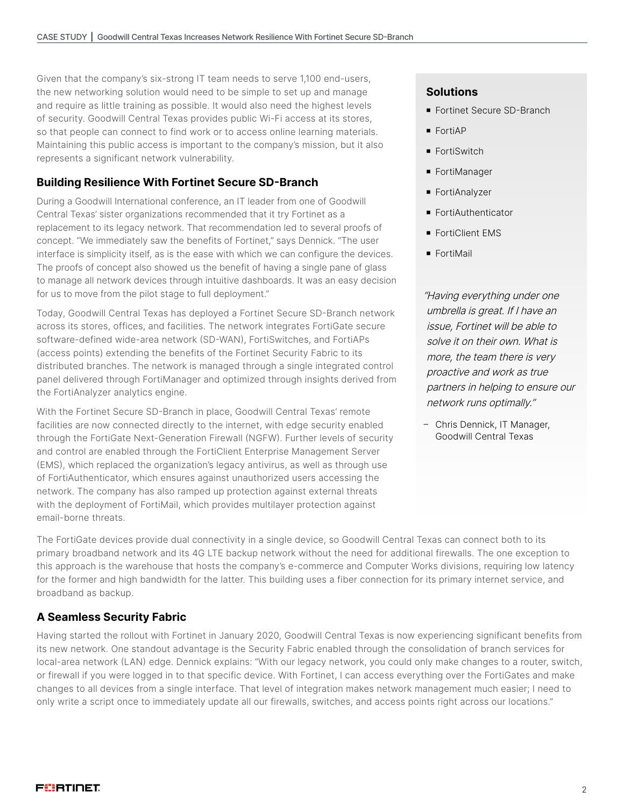Given that the company's six-strong IT team needs to serve 1,100 end-users, the new networking solution would need to be simple to set up and manage and require as little training as possible. It would also need the highest levels of security. Goodwill Central Texas provides public Wi-Fi access at its stores, so that people can connect to find work or to access online learning materials. Maintaining this public access is important to the company's mission, but it also represents a significant network vulnerability.

## **Building Resilience With Fortinet Secure SD-Branch**

During a Goodwill International conference, an IT leader from one of Goodwill Central Texas' sister organizations recommended that it try Fortinet as a replacement to its legacy network. That recommendation led to several proofs of concept. "We immediately saw the benefits of Fortinet," says Dennick. "The user interface is simplicity itself, as is the ease with which we can configure the devices. The proofs of concept also showed us the benefit of having a single pane of glass to manage all network devices through intuitive dashboards. It was an easy decision for us to move from the pilot stage to full deployment."

Today, Goodwill Central Texas has deployed a Fortinet Secure SD-Branch network across its stores, offices, and facilities. The network integrates FortiGate secure software-defined wide-area network (SD-WAN), FortiSwitches, and FortiAPs (access points) extending the benefits of the Fortinet Security Fabric to its distributed branches. The network is managed through a single integrated control panel delivered through FortiManager and optimized through insights derived from the FortiAnalyzer analytics engine.

With the Fortinet Secure SD-Branch in place, Goodwill Central Texas' remote facilities are now connected directly to the internet, with edge security enabled through the FortiGate Next-Generation Firewall (NGFW). Further levels of security and control are enabled through the FortiClient Enterprise Management Server (EMS), which replaced the organization's legacy antivirus, as well as through use of FortiAuthenticator, which ensures against unauthorized users accessing the network. The company has also ramped up protection against external threats with the deployment of FortiMail, which provides multilayer protection against email-borne threats.

#### **Solutions**

- Fortinet Secure SD-Branch
- $\blacksquare$  FortiAP
- **FortiSwitch**
- **FortiManager**
- FortiAnalyzer
- FortiAuthenticator
- **FortiClient FMS**
- **FortiMail**

"Having everything under one umbrella is great. If I have an issue, Fortinet will be able to solve it on their own. What is more, the team there is very proactive and work as true partners in helping to ensure our network runs optimally."

– Chris Dennick, IT Manager, Goodwill Central Texas

The FortiGate devices provide dual connectivity in a single device, so Goodwill Central Texas can connect both to its primary broadband network and its 4G LTE backup network without the need for additional firewalls. The one exception to this approach is the warehouse that hosts the company's e-commerce and Computer Works divisions, requiring low latency for the former and high bandwidth for the latter. This building uses a fiber connection for its primary internet service, and broadband as backup.

# **A Seamless Security Fabric**

Having started the rollout with Fortinet in January 2020, Goodwill Central Texas is now experiencing significant benefits from its new network. One standout advantage is the Security Fabric enabled through the consolidation of branch services for local-area network (LAN) edge. Dennick explains: "With our legacy network, you could only make changes to a router, switch, or firewall if you were logged in to that specific device. With Fortinet, I can access everything over the FortiGates and make changes to all devices from a single interface. That level of integration makes network management much easier; I need to only write a script once to immediately update all our firewalls, switches, and access points right across our locations."